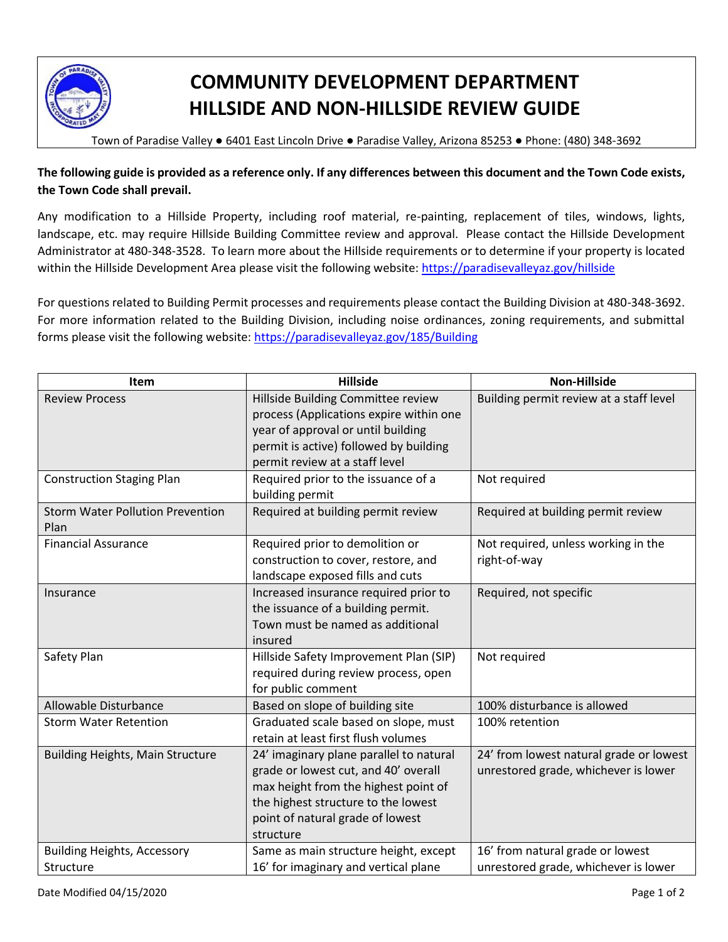

## **COMMUNITY DEVELOPMENT DEPARTMENT HILLSIDE AND NON-HILLSIDE REVIEW GUIDE**

Town of Paradise Valley ● 6401 East Lincoln Drive ● Paradise Valley, Arizona 85253 ● Phone: (480) 348-3692

**The following guide is provided as a reference only. If any differences between this document and the Town Code exists, the Town Code shall prevail.** 

Any modification to a Hillside Property, including roof material, re-painting, replacement of tiles, windows, lights, landscape, etc. may require Hillside Building Committee review and approval. Please contact the Hillside Development Administrator at 480-348-3528. To learn more about the Hillside requirements or to determine if your property is located within the Hillside Development Area please visit the following website: <https://paradisevalleyaz.gov/hillside>

For questions related to Building Permit processes and requirements please contact the Building Division at 480-348-3692. For more information related to the Building Division, including noise ordinances, zoning requirements, and submittal forms please visit the following website: <https://paradisevalleyaz.gov/185/Building>

| Item                                            | <b>Hillside</b>                                                                                                                                                                                                 | <b>Non-Hillside</b>                                                             |
|-------------------------------------------------|-----------------------------------------------------------------------------------------------------------------------------------------------------------------------------------------------------------------|---------------------------------------------------------------------------------|
| <b>Review Process</b>                           | Hillside Building Committee review<br>process (Applications expire within one<br>year of approval or until building<br>permit is active) followed by building<br>permit review at a staff level                 | Building permit review at a staff level                                         |
| <b>Construction Staging Plan</b>                | Required prior to the issuance of a<br>building permit                                                                                                                                                          | Not required                                                                    |
| <b>Storm Water Pollution Prevention</b><br>Plan | Required at building permit review                                                                                                                                                                              | Required at building permit review                                              |
| <b>Financial Assurance</b>                      | Required prior to demolition or<br>construction to cover, restore, and<br>landscape exposed fills and cuts                                                                                                      | Not required, unless working in the<br>right-of-way                             |
| Insurance                                       | Increased insurance required prior to<br>the issuance of a building permit.<br>Town must be named as additional<br>insured                                                                                      | Required, not specific                                                          |
| Safety Plan                                     | Hillside Safety Improvement Plan (SIP)<br>required during review process, open<br>for public comment                                                                                                            | Not required                                                                    |
| Allowable Disturbance                           | Based on slope of building site                                                                                                                                                                                 | 100% disturbance is allowed                                                     |
| <b>Storm Water Retention</b>                    | Graduated scale based on slope, must<br>retain at least first flush volumes                                                                                                                                     | 100% retention                                                                  |
| <b>Building Heights, Main Structure</b>         | 24' imaginary plane parallel to natural<br>grade or lowest cut, and 40' overall<br>max height from the highest point of<br>the highest structure to the lowest<br>point of natural grade of lowest<br>structure | 24' from lowest natural grade or lowest<br>unrestored grade, whichever is lower |
| <b>Building Heights, Accessory</b>              | Same as main structure height, except                                                                                                                                                                           | 16' from natural grade or lowest                                                |
| Structure                                       | 16' for imaginary and vertical plane                                                                                                                                                                            | unrestored grade, whichever is lower                                            |